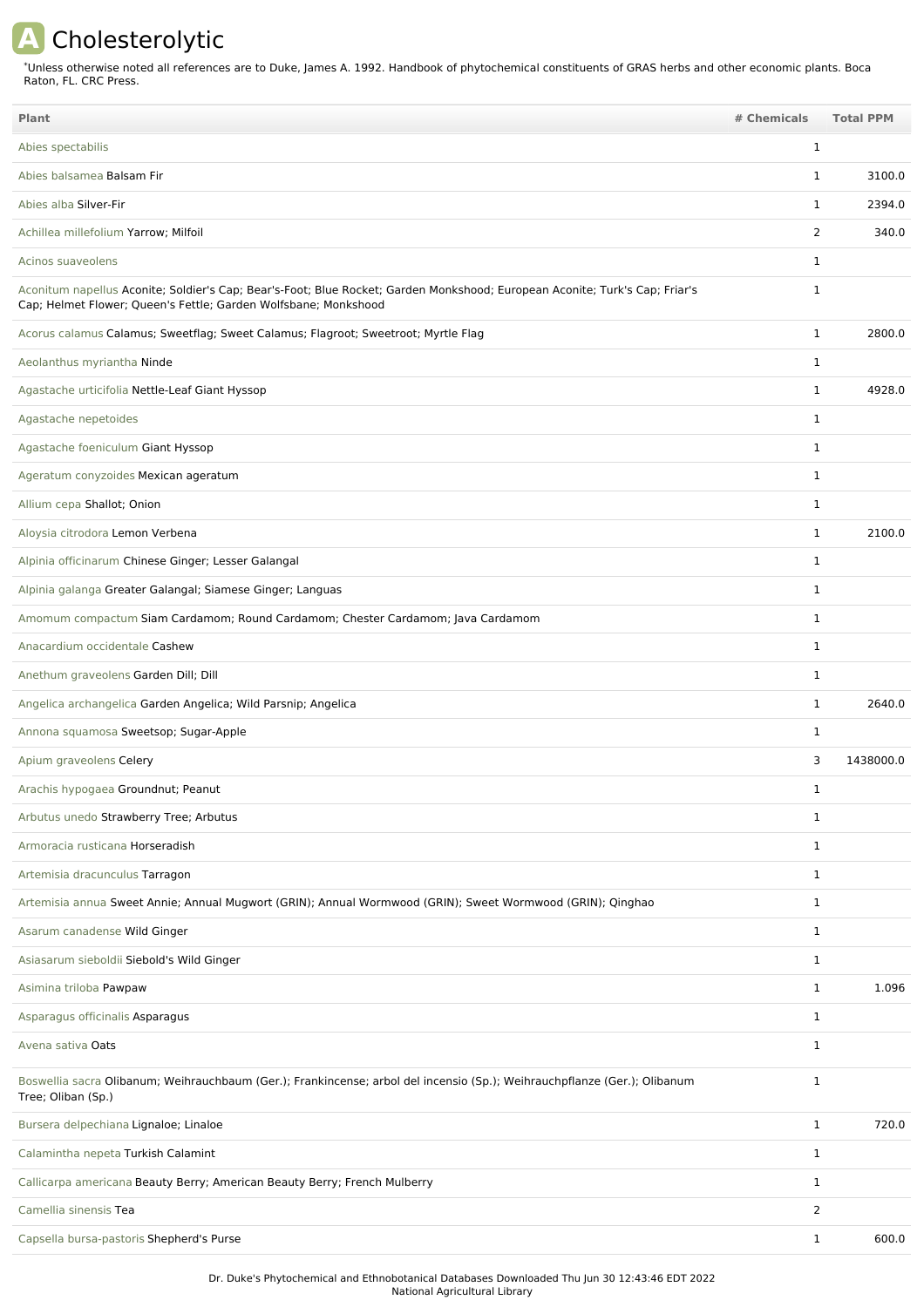## **A** Cholesterolytic

Unless otherwise noted all references are to Duke, James A. 1992. Handbook of phytochemical constituents of GRAS herbs and other economic plants. Boca Raton, FL. CRC Press. \*

| <b>Plant</b>                                                                                                                                                                                   | # Chemicals  | <b>Total PPM</b> |
|------------------------------------------------------------------------------------------------------------------------------------------------------------------------------------------------|--------------|------------------|
| Abies spectabilis                                                                                                                                                                              | $\mathbf 1$  |                  |
| Abies balsamea Balsam Fir                                                                                                                                                                      | $\mathbf{1}$ | 3100.0           |
| Abies alba Silver-Fir                                                                                                                                                                          | 1            | 2394.0           |
| Achillea millefolium Yarrow; Milfoil                                                                                                                                                           | 2            | 340.0            |
| Acinos suaveolens                                                                                                                                                                              | 1            |                  |
| Aconitum napellus Aconite; Soldier's Cap; Bear's-Foot; Blue Rocket; Garden Monkshood; European Aconite; Turk's Cap; Friar's<br>Cap; Helmet Flower; Queen's Fettle; Garden Wolfsbane; Monkshood | 1            |                  |
| Acorus calamus Calamus; Sweetflag; Sweet Calamus; Flagroot; Sweetroot; Myrtle Flag                                                                                                             | $\mathbf{1}$ | 2800.0           |
| Aeolanthus myriantha Ninde                                                                                                                                                                     | $\mathbf 1$  |                  |
| Agastache urticifolia Nettle-Leaf Giant Hyssop                                                                                                                                                 | $\mathbf 1$  | 4928.0           |
| Agastache nepetoides                                                                                                                                                                           | $\mathbf 1$  |                  |
| Agastache foeniculum Giant Hyssop                                                                                                                                                              | 1            |                  |
| Ageratum conyzoides Mexican ageratum                                                                                                                                                           | $\mathbf{1}$ |                  |
| Allium cepa Shallot; Onion                                                                                                                                                                     | $\mathbf{1}$ |                  |
| Aloysia citrodora Lemon Verbena                                                                                                                                                                | $\mathbf 1$  | 2100.0           |
| Alpinia officinarum Chinese Ginger; Lesser Galangal                                                                                                                                            | $\mathbf 1$  |                  |
| Alpinia galanga Greater Galangal; Siamese Ginger; Languas                                                                                                                                      | 1            |                  |
| Amomum compactum Siam Cardamom; Round Cardamom; Chester Cardamom; Java Cardamom                                                                                                                | $\mathbf 1$  |                  |
| Anacardium occidentale Cashew                                                                                                                                                                  | $\mathbf 1$  |                  |
| Anethum graveolens Garden Dill; Dill                                                                                                                                                           | $\mathbf{1}$ |                  |
| Angelica archangelica Garden Angelica; Wild Parsnip; Angelica                                                                                                                                  | $\mathbf 1$  | 2640.0           |
| Annona squamosa Sweetsop; Sugar-Apple                                                                                                                                                          | 1            |                  |
| Apium graveolens Celery                                                                                                                                                                        | 3            | 1438000.0        |
| Arachis hypogaea Groundnut; Peanut                                                                                                                                                             | $\mathbf 1$  |                  |
| Arbutus unedo Strawberry Tree; Arbutus                                                                                                                                                         | $\mathbf 1$  |                  |
| Armoracia rusticana Horseradish                                                                                                                                                                | $\mathbf{1}$ |                  |
| Artemisia dracunculus Tarragon                                                                                                                                                                 | $\mathbf{1}$ |                  |
| Artemisia annua Sweet Annie; Annual Mugwort (GRIN); Annual Wormwood (GRIN); Sweet Wormwood (GRIN); Qinghao                                                                                     | $\mathbf{1}$ |                  |
| Asarum canadense Wild Ginger                                                                                                                                                                   | $\mathbf{1}$ |                  |
| Asiasarum sieboldii Siebold's Wild Ginger                                                                                                                                                      | 1            |                  |
| Asimina triloba Pawpaw                                                                                                                                                                         | $\mathbf{1}$ | 1.096            |
| Asparagus officinalis Asparagus                                                                                                                                                                | $\mathbf{1}$ |                  |
| Avena sativa Oats                                                                                                                                                                              | $\mathbf{1}$ |                  |
| Boswellia sacra Olibanum; Weihrauchbaum (Ger.); Frankincense; arbol del incensio (Sp.); Weihrauchpflanze (Ger.); Olibanum<br>Tree; Oliban (Sp.)                                                | $\mathbf{1}$ |                  |
| Bursera delpechiana Lignaloe; Linaloe                                                                                                                                                          | $\mathbf{1}$ | 720.0            |
| Calamintha nepeta Turkish Calamint                                                                                                                                                             | $\mathbf{1}$ |                  |
| Callicarpa americana Beauty Berry; American Beauty Berry; French Mulberry                                                                                                                      | $\mathbf{1}$ |                  |
| Camellia sinensis Tea                                                                                                                                                                          | 2            |                  |
| Capsella bursa-pastoris Shepherd's Purse                                                                                                                                                       | 1            | 600.0            |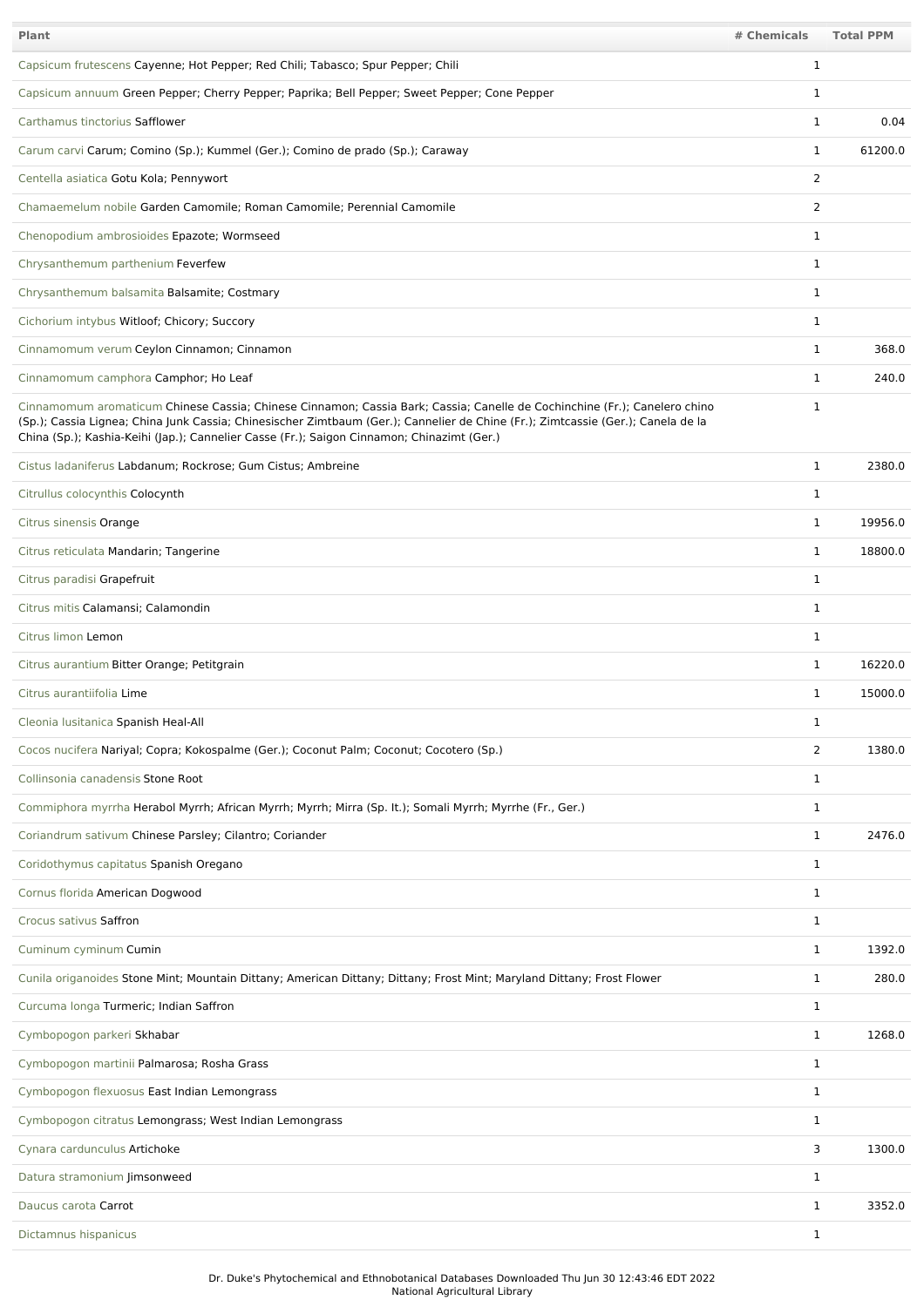| Plant                                                                                                                                                                                                                                                                                                                                                       | # Chemicals    | <b>Total PPM</b> |
|-------------------------------------------------------------------------------------------------------------------------------------------------------------------------------------------------------------------------------------------------------------------------------------------------------------------------------------------------------------|----------------|------------------|
| Capsicum frutescens Cayenne; Hot Pepper; Red Chili; Tabasco; Spur Pepper; Chili                                                                                                                                                                                                                                                                             | 1              |                  |
| Capsicum annuum Green Pepper; Cherry Pepper; Paprika; Bell Pepper; Sweet Pepper; Cone Pepper                                                                                                                                                                                                                                                                | 1              |                  |
| Carthamus tinctorius Safflower                                                                                                                                                                                                                                                                                                                              | 1              | 0.04             |
| Carum carvi Carum; Comino (Sp.); Kummel (Ger.); Comino de prado (Sp.); Caraway                                                                                                                                                                                                                                                                              | $\mathbf{1}$   | 61200.0          |
| Centella asiatica Gotu Kola; Pennywort                                                                                                                                                                                                                                                                                                                      | $\overline{2}$ |                  |
| Chamaemelum nobile Garden Camomile; Roman Camomile; Perennial Camomile                                                                                                                                                                                                                                                                                      | 2              |                  |
| Chenopodium ambrosioides Epazote; Wormseed                                                                                                                                                                                                                                                                                                                  | 1              |                  |
| Chrysanthemum parthenium Feverfew                                                                                                                                                                                                                                                                                                                           | 1              |                  |
| Chrysanthemum balsamita Balsamite; Costmary                                                                                                                                                                                                                                                                                                                 | 1              |                  |
| Cichorium intybus Witloof; Chicory; Succory                                                                                                                                                                                                                                                                                                                 | 1              |                  |
| Cinnamomum verum Ceylon Cinnamon; Cinnamon                                                                                                                                                                                                                                                                                                                  | 1              | 368.0            |
| Cinnamomum camphora Camphor; Ho Leaf                                                                                                                                                                                                                                                                                                                        | $\mathbf{1}$   | 240.0            |
| Cinnamomum aromaticum Chinese Cassia; Chinese Cinnamon; Cassia Bark; Cassia; Canelle de Cochinchine (Fr.); Canelero chino<br>(Sp.); Cassia Lignea; China Junk Cassia; Chinesischer Zimtbaum (Ger.); Cannelier de Chine (Fr.); Zimtcassie (Ger.); Canela de la<br>China (Sp.); Kashia-Keihi (Jap.); Cannelier Casse (Fr.); Saigon Cinnamon; Chinazimt (Ger.) | 1              |                  |
| Cistus ladaniferus Labdanum; Rockrose; Gum Cistus; Ambreine                                                                                                                                                                                                                                                                                                 | $\mathbf{1}$   | 2380.0           |
| Citrullus colocynthis Colocynth                                                                                                                                                                                                                                                                                                                             | $\mathbf{1}$   |                  |
| Citrus sinensis Orange                                                                                                                                                                                                                                                                                                                                      | $\mathbf{1}$   | 19956.0          |
| Citrus reticulata Mandarin; Tangerine                                                                                                                                                                                                                                                                                                                       | $\mathbf{1}$   | 18800.0          |
| Citrus paradisi Grapefruit                                                                                                                                                                                                                                                                                                                                  | 1              |                  |
| Citrus mitis Calamansi; Calamondin                                                                                                                                                                                                                                                                                                                          | 1              |                  |
| Citrus limon Lemon                                                                                                                                                                                                                                                                                                                                          | 1              |                  |
| Citrus aurantium Bitter Orange; Petitgrain                                                                                                                                                                                                                                                                                                                  | 1              | 16220.0          |
| Citrus aurantiifolia Lime                                                                                                                                                                                                                                                                                                                                   | 1              | 15000.0          |
| Cleonia lusitanica Spanish Heal-All                                                                                                                                                                                                                                                                                                                         | 1              |                  |
| Cocos nucifera Nariyal; Copra; Kokospalme (Ger.); Coconut Palm; Coconut; Cocotero (Sp.)                                                                                                                                                                                                                                                                     | $\overline{2}$ | 1380.0           |
| Collinsonia canadensis Stone Root                                                                                                                                                                                                                                                                                                                           | $\mathbf{1}$   |                  |
| Commiphora myrrha Herabol Myrrh; African Myrrh; Myrrh; Mirra (Sp. lt.); Somali Myrrh; Myrrhe (Fr., Ger.)                                                                                                                                                                                                                                                    | $\mathbf{1}$   |                  |
| Coriandrum sativum Chinese Parsley; Cilantro; Coriander                                                                                                                                                                                                                                                                                                     | $\mathbf{1}$   | 2476.0           |
| Coridothymus capitatus Spanish Oregano                                                                                                                                                                                                                                                                                                                      | $\mathbf{1}$   |                  |
| Cornus florida American Dogwood                                                                                                                                                                                                                                                                                                                             | $\mathbf{1}$   |                  |
| Crocus sativus Saffron                                                                                                                                                                                                                                                                                                                                      | $\mathbf{1}$   |                  |
| Cuminum cyminum Cumin                                                                                                                                                                                                                                                                                                                                       | $\mathbf{1}$   | 1392.0           |
| Cunila origanoides Stone Mint; Mountain Dittany; American Dittany; Dittany; Frost Mint; Maryland Dittany; Frost Flower                                                                                                                                                                                                                                      | 1              | 280.0            |
| Curcuma longa Turmeric; Indian Saffron                                                                                                                                                                                                                                                                                                                      | $\mathbf{1}$   |                  |
| Cymbopogon parkeri Skhabar                                                                                                                                                                                                                                                                                                                                  | $\mathbf{1}$   | 1268.0           |
| Cymbopogon martinii Palmarosa; Rosha Grass                                                                                                                                                                                                                                                                                                                  | $\mathbf{1}$   |                  |
| Cymbopogon flexuosus East Indian Lemongrass                                                                                                                                                                                                                                                                                                                 | 1              |                  |
| Cymbopogon citratus Lemongrass; West Indian Lemongrass                                                                                                                                                                                                                                                                                                      | $\mathbf{1}$   |                  |
| Cynara cardunculus Artichoke                                                                                                                                                                                                                                                                                                                                | 3              | 1300.0           |
| Datura stramonium Jimsonweed                                                                                                                                                                                                                                                                                                                                | 1              |                  |
| Daucus carota Carrot                                                                                                                                                                                                                                                                                                                                        | $\mathbf{1}$   | 3352.0           |
| Dictamnus hispanicus                                                                                                                                                                                                                                                                                                                                        | $\mathbf{1}$   |                  |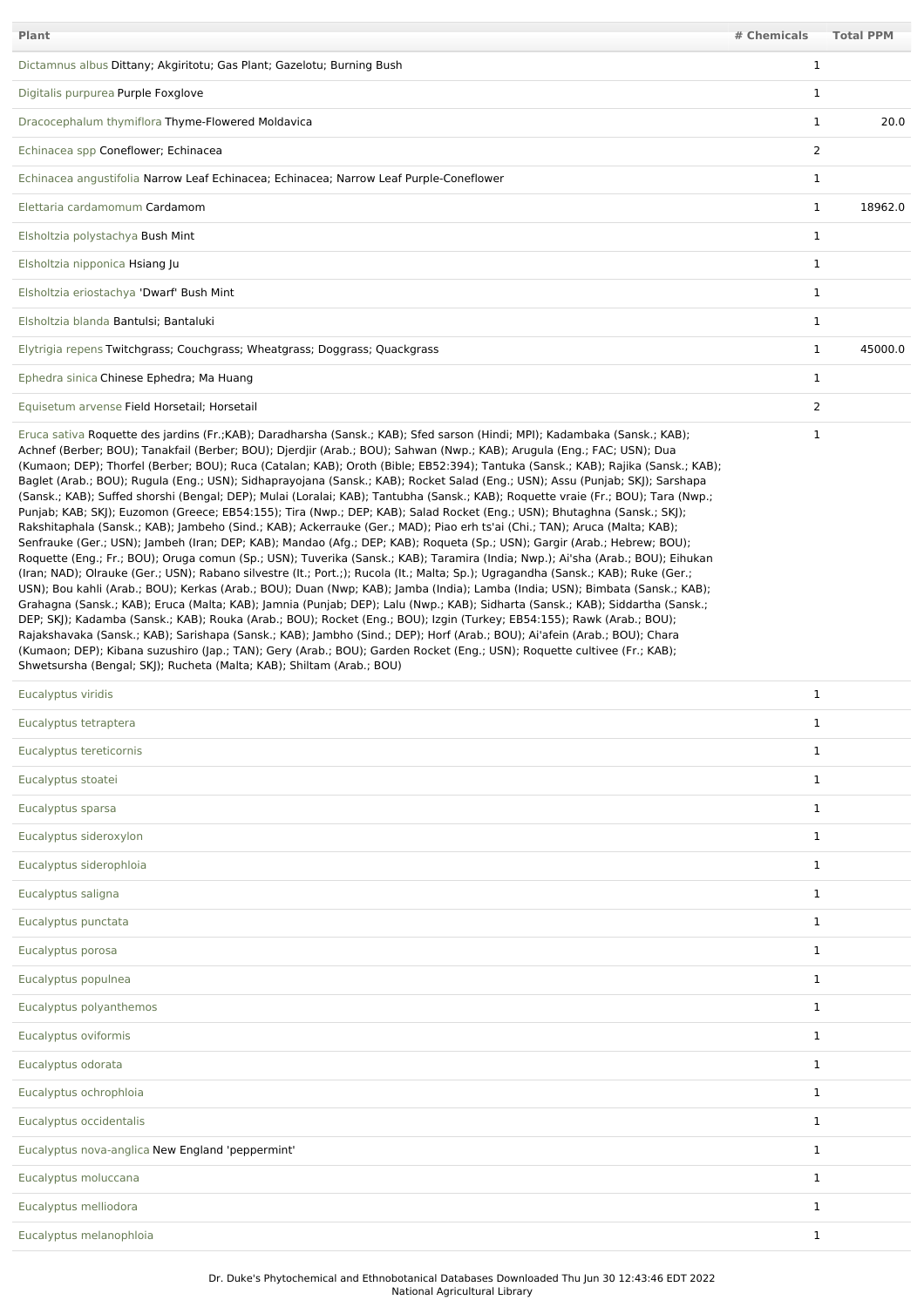| Plant                                                                                                                                                                                                                                                                                                                                                                                                                                                                                                                                                                                                                                                                                                                                                                                                                                                                                                                                                                                                                                                                                                                                                                                                                                                                                                                                                                                                                                                                                                                                                                                                                                                                                                                                                                                                                                                                                                                                                                                                                                                         | # Chemicals    | <b>Total PPM</b> |
|---------------------------------------------------------------------------------------------------------------------------------------------------------------------------------------------------------------------------------------------------------------------------------------------------------------------------------------------------------------------------------------------------------------------------------------------------------------------------------------------------------------------------------------------------------------------------------------------------------------------------------------------------------------------------------------------------------------------------------------------------------------------------------------------------------------------------------------------------------------------------------------------------------------------------------------------------------------------------------------------------------------------------------------------------------------------------------------------------------------------------------------------------------------------------------------------------------------------------------------------------------------------------------------------------------------------------------------------------------------------------------------------------------------------------------------------------------------------------------------------------------------------------------------------------------------------------------------------------------------------------------------------------------------------------------------------------------------------------------------------------------------------------------------------------------------------------------------------------------------------------------------------------------------------------------------------------------------------------------------------------------------------------------------------------------------|----------------|------------------|
| Dictamnus albus Dittany; Akgiritotu; Gas Plant; Gazelotu; Burning Bush                                                                                                                                                                                                                                                                                                                                                                                                                                                                                                                                                                                                                                                                                                                                                                                                                                                                                                                                                                                                                                                                                                                                                                                                                                                                                                                                                                                                                                                                                                                                                                                                                                                                                                                                                                                                                                                                                                                                                                                        | $\mathbf{1}$   |                  |
| Digitalis purpurea Purple Foxglove                                                                                                                                                                                                                                                                                                                                                                                                                                                                                                                                                                                                                                                                                                                                                                                                                                                                                                                                                                                                                                                                                                                                                                                                                                                                                                                                                                                                                                                                                                                                                                                                                                                                                                                                                                                                                                                                                                                                                                                                                            | $\mathbf{1}$   |                  |
| Dracocephalum thymiflora Thyme-Flowered Moldavica                                                                                                                                                                                                                                                                                                                                                                                                                                                                                                                                                                                                                                                                                                                                                                                                                                                                                                                                                                                                                                                                                                                                                                                                                                                                                                                                                                                                                                                                                                                                                                                                                                                                                                                                                                                                                                                                                                                                                                                                             | $\mathbf{1}$   | 20.0             |
| Echinacea spp Coneflower; Echinacea                                                                                                                                                                                                                                                                                                                                                                                                                                                                                                                                                                                                                                                                                                                                                                                                                                                                                                                                                                                                                                                                                                                                                                                                                                                                                                                                                                                                                                                                                                                                                                                                                                                                                                                                                                                                                                                                                                                                                                                                                           | $\overline{2}$ |                  |
| Echinacea angustifolia Narrow Leaf Echinacea; Echinacea; Narrow Leaf Purple-Coneflower                                                                                                                                                                                                                                                                                                                                                                                                                                                                                                                                                                                                                                                                                                                                                                                                                                                                                                                                                                                                                                                                                                                                                                                                                                                                                                                                                                                                                                                                                                                                                                                                                                                                                                                                                                                                                                                                                                                                                                        | $\mathbf{1}$   |                  |
| Elettaria cardamomum Cardamom                                                                                                                                                                                                                                                                                                                                                                                                                                                                                                                                                                                                                                                                                                                                                                                                                                                                                                                                                                                                                                                                                                                                                                                                                                                                                                                                                                                                                                                                                                                                                                                                                                                                                                                                                                                                                                                                                                                                                                                                                                 | $\mathbf{1}$   | 18962.0          |
| Elsholtzia polystachya Bush Mint                                                                                                                                                                                                                                                                                                                                                                                                                                                                                                                                                                                                                                                                                                                                                                                                                                                                                                                                                                                                                                                                                                                                                                                                                                                                                                                                                                                                                                                                                                                                                                                                                                                                                                                                                                                                                                                                                                                                                                                                                              | $\mathbf{1}$   |                  |
| Elsholtzia nipponica Hsiang Ju                                                                                                                                                                                                                                                                                                                                                                                                                                                                                                                                                                                                                                                                                                                                                                                                                                                                                                                                                                                                                                                                                                                                                                                                                                                                                                                                                                                                                                                                                                                                                                                                                                                                                                                                                                                                                                                                                                                                                                                                                                | $\mathbf{1}$   |                  |
| Elsholtzia eriostachya 'Dwarf' Bush Mint                                                                                                                                                                                                                                                                                                                                                                                                                                                                                                                                                                                                                                                                                                                                                                                                                                                                                                                                                                                                                                                                                                                                                                                                                                                                                                                                                                                                                                                                                                                                                                                                                                                                                                                                                                                                                                                                                                                                                                                                                      | $\mathbf{1}$   |                  |
| Elsholtzia blanda Bantulsi; Bantaluki                                                                                                                                                                                                                                                                                                                                                                                                                                                                                                                                                                                                                                                                                                                                                                                                                                                                                                                                                                                                                                                                                                                                                                                                                                                                                                                                                                                                                                                                                                                                                                                                                                                                                                                                                                                                                                                                                                                                                                                                                         | $\mathbf 1$    |                  |
| Elytrigia repens Twitchgrass; Couchgrass; Wheatgrass; Doggrass; Quackgrass                                                                                                                                                                                                                                                                                                                                                                                                                                                                                                                                                                                                                                                                                                                                                                                                                                                                                                                                                                                                                                                                                                                                                                                                                                                                                                                                                                                                                                                                                                                                                                                                                                                                                                                                                                                                                                                                                                                                                                                    | $\mathbf{1}$   | 45000.0          |
| Ephedra sinica Chinese Ephedra; Ma Huang                                                                                                                                                                                                                                                                                                                                                                                                                                                                                                                                                                                                                                                                                                                                                                                                                                                                                                                                                                                                                                                                                                                                                                                                                                                                                                                                                                                                                                                                                                                                                                                                                                                                                                                                                                                                                                                                                                                                                                                                                      | $\mathbf{1}$   |                  |
| Equisetum arvense Field Horsetail; Horsetail                                                                                                                                                                                                                                                                                                                                                                                                                                                                                                                                                                                                                                                                                                                                                                                                                                                                                                                                                                                                                                                                                                                                                                                                                                                                                                                                                                                                                                                                                                                                                                                                                                                                                                                                                                                                                                                                                                                                                                                                                  | $\overline{2}$ |                  |
| Eruca sativa Roguette des jardins (Fr.;KAB); Daradharsha (Sansk.; KAB); Sfed sarson (Hindi; MPI); Kadambaka (Sansk.; KAB);<br>Achnef (Berber; BOU); Tanakfail (Berber; BOU); Djerdjir (Arab.; BOU); Sahwan (Nwp.; KAB); Arugula (Eng.; FAC; USN); Dua<br>(Kumaon; DEP); Thorfel (Berber; BOU); Ruca (Catalan; KAB); Oroth (Bible; EB52:394); Tantuka (Sansk.; KAB); Rajika (Sansk.; KAB);<br>Baglet (Arab.; BOU); Rugula (Eng.; USN); Sidhaprayojana (Sansk.; KAB); Rocket Salad (Eng.; USN); Assu (Punjab; SKJ); Sarshapa<br>(Sansk.; KAB); Suffed shorshi (Bengal; DEP); Mulai (Loralai; KAB); Tantubha (Sansk.; KAB); Roquette vraie (Fr.; BOU); Tara (Nwp.;<br>Punjab; KAB; SKJ); Euzomon (Greece; EB54:155); Tira (Nwp.; DEP; KAB); Salad Rocket (Eng.; USN); Bhutaghna (Sansk.; SKJ);<br>Rakshitaphala (Sansk.; KAB); Jambeho (Sind.; KAB); Ackerrauke (Ger.; MAD); Piao erh ts'ai (Chi.; TAN); Aruca (Malta; KAB);<br>Senfrauke (Ger.; USN); Jambeh (Iran; DEP; KAB); Mandao (Afg.; DEP; KAB); Roqueta (Sp.; USN); Gargir (Arab.; Hebrew; BOU);<br>Roquette (Eng.; Fr.; BOU); Oruga comun (Sp.; USN); Tuverika (Sansk.; KAB); Taramira (India; Nwp.); Ai'sha (Arab.; BOU); Eihukan<br>(Iran; NAD); Olrauke (Ger.; USN); Rabano silvestre (It.; Port.;); Rucola (It.; Malta; Sp.); Ugragandha (Sansk.; KAB); Ruke (Ger.;<br>USN); Bou kahli (Arab.; BOU); Kerkas (Arab.; BOU); Duan (Nwp; KAB); Jamba (India); Lamba (India; USN); Bimbata (Sansk.; KAB);<br>Grahagna (Sansk.; KAB); Eruca (Malta; KAB); Jamnia (Punjab; DEP); Lalu (Nwp.; KAB); Sidharta (Sansk.; KAB); Siddartha (Sansk.;<br>DEP; SKJ); Kadamba (Sansk.; KAB); Rouka (Arab.; BOU); Rocket (Eng.; BOU); Izgin (Turkey; EB54:155); Rawk (Arab.; BOU);<br>Rajakshavaka (Sansk.; KAB); Sarishapa (Sansk.; KAB); Jambho (Sind.; DEP); Horf (Arab.; BOU); Ai'afein (Arab.; BOU); Chara<br>(Kumaon; DEP); Kibana suzushiro (Jap.; TAN); Gery (Arab.; BOU); Garden Rocket (Eng.; USN); Roquette cultivee (Fr.; KAB);<br>Shwetsursha (Bengal; SKJ); Rucheta (Malta; KAB); Shiltam (Arab.; BOU) | $\mathbf{1}$   |                  |
| Eucalyptus viridis                                                                                                                                                                                                                                                                                                                                                                                                                                                                                                                                                                                                                                                                                                                                                                                                                                                                                                                                                                                                                                                                                                                                                                                                                                                                                                                                                                                                                                                                                                                                                                                                                                                                                                                                                                                                                                                                                                                                                                                                                                            | $\mathbf{1}$   |                  |
| Eucalyptus tetraptera                                                                                                                                                                                                                                                                                                                                                                                                                                                                                                                                                                                                                                                                                                                                                                                                                                                                                                                                                                                                                                                                                                                                                                                                                                                                                                                                                                                                                                                                                                                                                                                                                                                                                                                                                                                                                                                                                                                                                                                                                                         | $\mathbf{1}$   |                  |

| Eucalyptus tetraptera                            | $\mathbf 1$  |
|--------------------------------------------------|--------------|
| Eucalyptus tereticornis                          | $\mathbf{1}$ |
| Eucalyptus stoatei                               | $\mathbf{1}$ |
| Eucalyptus sparsa                                | $\mathbf{1}$ |
| Eucalyptus sideroxylon                           | $\mathbf{1}$ |
| Eucalyptus siderophloia                          | $\mathbf{1}$ |
| Eucalyptus saligna                               | $\mathbf{1}$ |
| Eucalyptus punctata                              | $\mathbf{1}$ |
| Eucalyptus porosa                                | $\mathbf{1}$ |
| Eucalyptus populnea                              | $\mathbf{1}$ |
| Eucalyptus polyanthemos                          | $\mathbf{1}$ |
| Eucalyptus oviformis                             | $\mathbf{1}$ |
| Eucalyptus odorata                               | $\mathbf{1}$ |
| Eucalyptus ochrophloia                           | $\mathbf{1}$ |
| Eucalyptus occidentalis                          | $\mathbf{1}$ |
| Eucalyptus nova-anglica New England 'peppermint' | 1            |
| Eucalyptus moluccana                             | $\mathbf{1}$ |
| Eucalyptus melliodora                            | $\mathbf{1}$ |
| Eucalyptus melanophloia                          | $\mathbf{1}$ |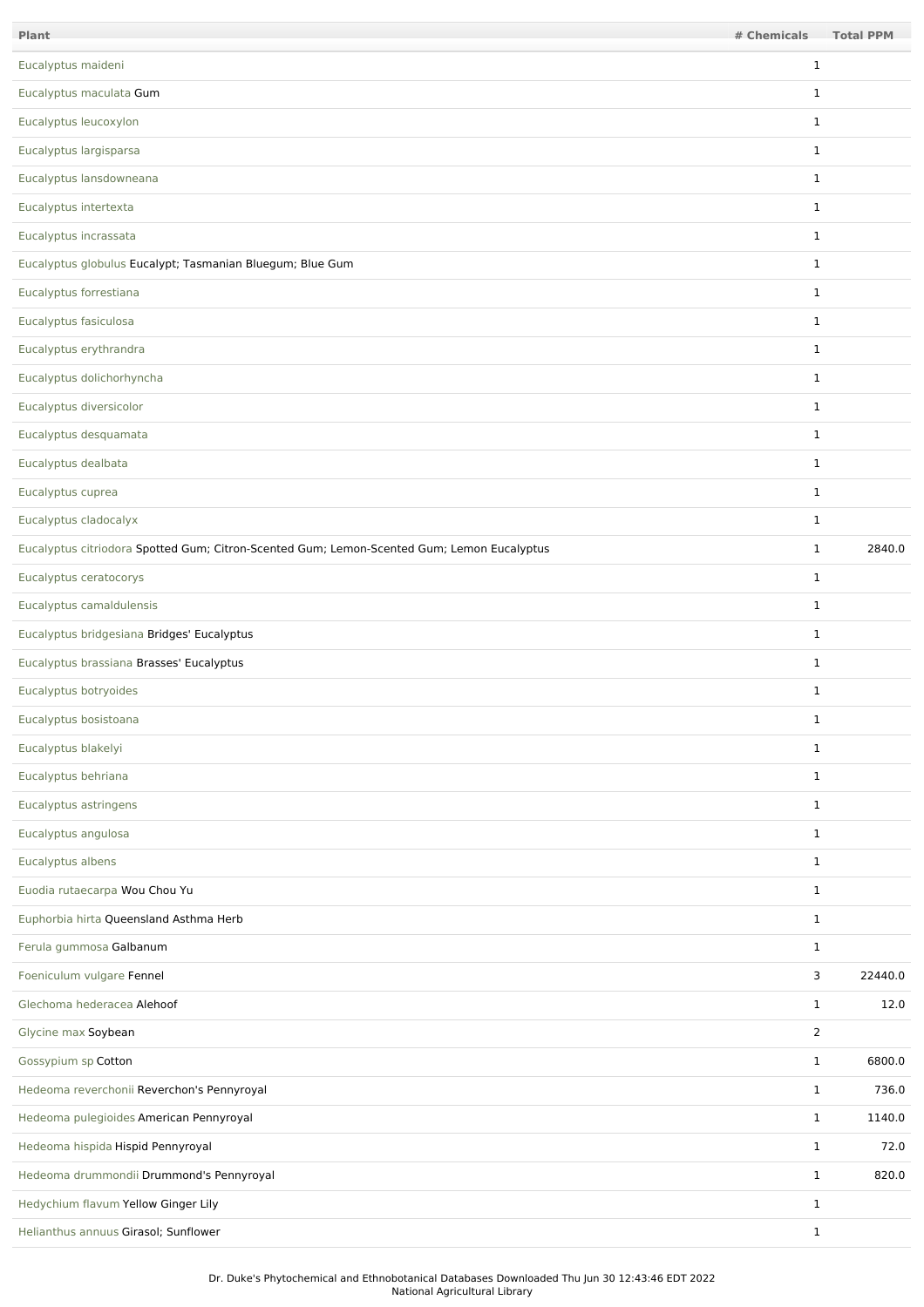| Plant                                                                                      | # Chemicals    | <b>Total PPM</b> |
|--------------------------------------------------------------------------------------------|----------------|------------------|
| Eucalyptus maideni                                                                         | $\mathbf{1}$   |                  |
| Eucalyptus maculata Gum                                                                    | $\mathbf{1}$   |                  |
| Eucalyptus leucoxylon                                                                      | $\mathbf{1}$   |                  |
| Eucalyptus largisparsa                                                                     | $\mathbf{1}$   |                  |
| Eucalyptus lansdowneana                                                                    | $\mathbf{1}$   |                  |
| Eucalyptus intertexta                                                                      | $\mathbf{1}$   |                  |
| Eucalyptus incrassata                                                                      | $\mathbf{1}$   |                  |
| Eucalyptus globulus Eucalypt; Tasmanian Bluegum; Blue Gum                                  | $\mathbf{1}$   |                  |
| Eucalyptus forrestiana                                                                     | $\mathbf{1}$   |                  |
| Eucalyptus fasiculosa                                                                      | $\mathbf{1}$   |                  |
| Eucalyptus erythrandra                                                                     | $\mathbf{1}$   |                  |
| Eucalyptus dolichorhyncha                                                                  | $\mathbf{1}$   |                  |
| Eucalyptus diversicolor                                                                    | $\mathbf{1}$   |                  |
| Eucalyptus desquamata                                                                      | $\mathbf{1}$   |                  |
| Eucalyptus dealbata                                                                        | $\mathbf{1}$   |                  |
| Eucalyptus cuprea                                                                          | $\mathbf{1}$   |                  |
| Eucalyptus cladocalyx                                                                      | $\mathbf{1}$   |                  |
| Eucalyptus citriodora Spotted Gum; Citron-Scented Gum; Lemon-Scented Gum; Lemon Eucalyptus | $\mathbf{1}$   | 2840.0           |
| Eucalyptus ceratocorys                                                                     | $\mathbf{1}$   |                  |
| Eucalyptus camaldulensis                                                                   | $\mathbf{1}$   |                  |
| Eucalyptus bridgesiana Bridges' Eucalyptus                                                 | $\mathbf{1}$   |                  |
| Eucalyptus brassiana Brasses' Eucalyptus                                                   | $\mathbf{1}$   |                  |
| Eucalyptus botryoides                                                                      | $\mathbf{1}$   |                  |
| Eucalyptus bosistoana                                                                      | 1              |                  |
| Eucalyptus blakelyi                                                                        | $\mathbf{1}$   |                  |
| Eucalyptus behriana                                                                        | $\mathbf{1}$   |                  |
| Eucalyptus astringens                                                                      | $\mathbf{1}$   |                  |
| Eucalyptus angulosa                                                                        | $\mathbf{1}$   |                  |
| Eucalyptus albens                                                                          | $\mathbf{1}$   |                  |
| Euodia rutaecarpa Wou Chou Yu                                                              | $\mathbf{1}$   |                  |
| Euphorbia hirta Queensland Asthma Herb                                                     | $\mathbf{1}$   |                  |
| Ferula gummosa Galbanum                                                                    | $\mathbf{1}$   |                  |
| Foeniculum vulgare Fennel                                                                  | 3              | 22440.0          |
| Glechoma hederacea Alehoof                                                                 | $\mathbf{1}$   | 12.0             |
| Glycine max Soybean                                                                        | $\overline{2}$ |                  |
| Gossypium sp Cotton                                                                        | $\mathbf{1}$   | 6800.0           |
| Hedeoma reverchonii Reverchon's Pennyroyal                                                 | $\mathbf{1}$   | 736.0            |
| Hedeoma pulegioides American Pennyroyal                                                    | $\mathbf{1}$   | 1140.0           |
| Hedeoma hispida Hispid Pennyroyal                                                          | $\mathbf{1}$   | 72.0             |
| Hedeoma drummondii Drummond's Pennyroyal                                                   | $\mathbf{1}$   | 820.0            |
| Hedychium flavum Yellow Ginger Lily                                                        | $\mathbf{1}$   |                  |
| Helianthus annuus Girasol; Sunflower                                                       | $\mathbf{1}$   |                  |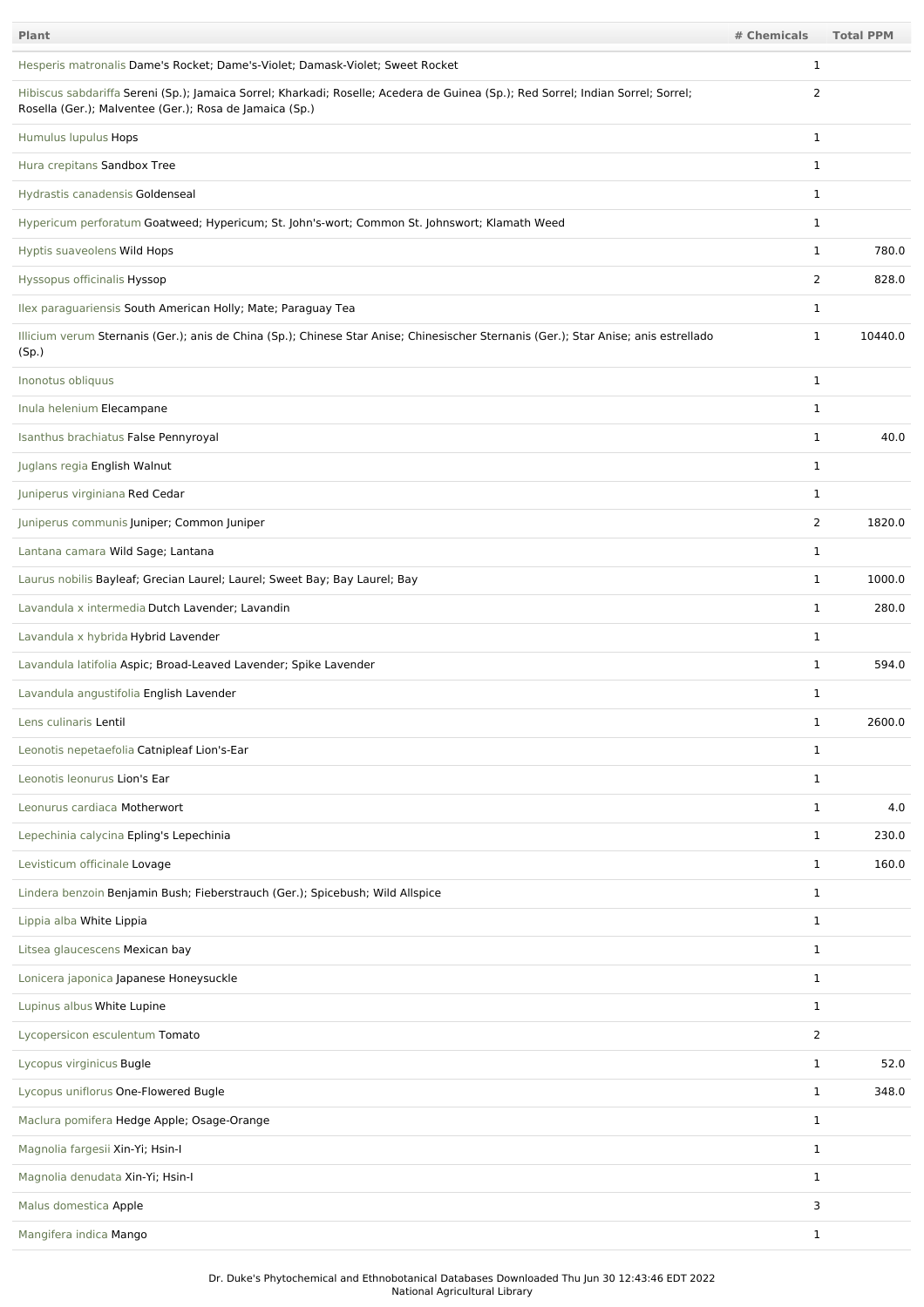| Plant                                                                                                                                                                                       | # Chemicals    | <b>Total PPM</b> |
|---------------------------------------------------------------------------------------------------------------------------------------------------------------------------------------------|----------------|------------------|
| Hesperis matronalis Dame's Rocket; Dame's-Violet; Damask-Violet; Sweet Rocket                                                                                                               | 1              |                  |
| Hibiscus sabdariffa Sereni (Sp.); Jamaica Sorrel; Kharkadi; Roselle; Acedera de Guinea (Sp.); Red Sorrel; Indian Sorrel; Sorrel;<br>Rosella (Ger.); Malventee (Ger.); Rosa de Jamaica (Sp.) | 2              |                  |
| Humulus lupulus Hops                                                                                                                                                                        | $\mathbf{1}$   |                  |
| Hura crepitans Sandbox Tree                                                                                                                                                                 | 1              |                  |
| Hydrastis canadensis Goldenseal                                                                                                                                                             | 1              |                  |
| Hypericum perforatum Goatweed; Hypericum; St. John's-wort; Common St. Johnswort; Klamath Weed                                                                                               | 1              |                  |
| Hyptis suaveolens Wild Hops                                                                                                                                                                 | 1              | 780.0            |
| Hyssopus officinalis Hyssop                                                                                                                                                                 | $\overline{2}$ | 828.0            |
| Ilex paraguariensis South American Holly; Mate; Paraguay Tea                                                                                                                                | $\mathbf{1}$   |                  |
| Illicium verum Sternanis (Ger.); anis de China (Sp.); Chinese Star Anise; Chinesischer Sternanis (Ger.); Star Anise; anis estrellado<br>(Sp.)                                               | $\mathbf{1}$   | 10440.0          |
| Inonotus obliquus                                                                                                                                                                           | $\mathbf 1$    |                  |
| Inula helenium Elecampane                                                                                                                                                                   | 1              |                  |
| Isanthus brachiatus False Pennyroyal                                                                                                                                                        | $\mathbf{1}$   | 40.0             |
| Juglans regia English Walnut                                                                                                                                                                | 1              |                  |
| Juniperus virginiana Red Cedar                                                                                                                                                              | $\mathbf{1}$   |                  |
| Juniperus communis Juniper; Common Juniper                                                                                                                                                  | $\overline{2}$ | 1820.0           |
| Lantana camara Wild Sage; Lantana                                                                                                                                                           | 1              |                  |
| Laurus nobilis Bayleaf; Grecian Laurel; Laurel; Sweet Bay; Bay Laurel; Bay                                                                                                                  | $\mathbf{1}$   | 1000.0           |
| Lavandula x intermedia Dutch Lavender; Lavandin                                                                                                                                             | $\mathbf{1}$   | 280.0            |
| Lavandula x hybrida Hybrid Lavender                                                                                                                                                         | $\mathbf 1$    |                  |
| Lavandula latifolia Aspic; Broad-Leaved Lavender; Spike Lavender                                                                                                                            | 1              | 594.0            |
| Lavandula angustifolia English Lavender                                                                                                                                                     | 1              |                  |
| Lens culinaris Lentil                                                                                                                                                                       | 1              | 2600.0           |
| Leonotis nepetaefolia Catnipleaf Lion's-Ear                                                                                                                                                 | $\mathbf{1}$   |                  |
| Leonotis leonurus Lion's Ear                                                                                                                                                                | $\mathbf{1}$   |                  |
| Leonurus cardiaca Motherwort                                                                                                                                                                | $\mathbf{1}$   | 4.0              |
| Lepechinia calycina Epling's Lepechinia                                                                                                                                                     | $\mathbf{1}$   | 230.0            |
| Levisticum officinale Lovage                                                                                                                                                                | $\mathbf{1}$   | 160.0            |
| Lindera benzoin Benjamin Bush; Fieberstrauch (Ger.); Spicebush; Wild Allspice                                                                                                               | $\mathbf{1}$   |                  |
| Lippia alba White Lippia                                                                                                                                                                    | 1              |                  |
| Litsea glaucescens Mexican bay                                                                                                                                                              | $\mathbf{1}$   |                  |
| Lonicera japonica Japanese Honeysuckle                                                                                                                                                      | 1              |                  |
| Lupinus albus White Lupine                                                                                                                                                                  | $\mathbf{1}$   |                  |
| Lycopersicon esculentum Tomato                                                                                                                                                              | $\overline{2}$ |                  |
| Lycopus virginicus Bugle                                                                                                                                                                    | $\mathbf{1}$   | 52.0             |
| Lycopus uniflorus One-Flowered Bugle                                                                                                                                                        | $\mathbf{1}$   | 348.0            |
| Maclura pomifera Hedge Apple; Osage-Orange                                                                                                                                                  | 1              |                  |
| Magnolia fargesii Xin-Yi; Hsin-I                                                                                                                                                            | $\mathbf{1}$   |                  |
| Magnolia denudata Xin-Yi; Hsin-I                                                                                                                                                            | $\mathbf{1}$   |                  |
| Malus domestica Apple                                                                                                                                                                       | 3              |                  |
| Mangifera indica Mango                                                                                                                                                                      | $\mathbf{1}$   |                  |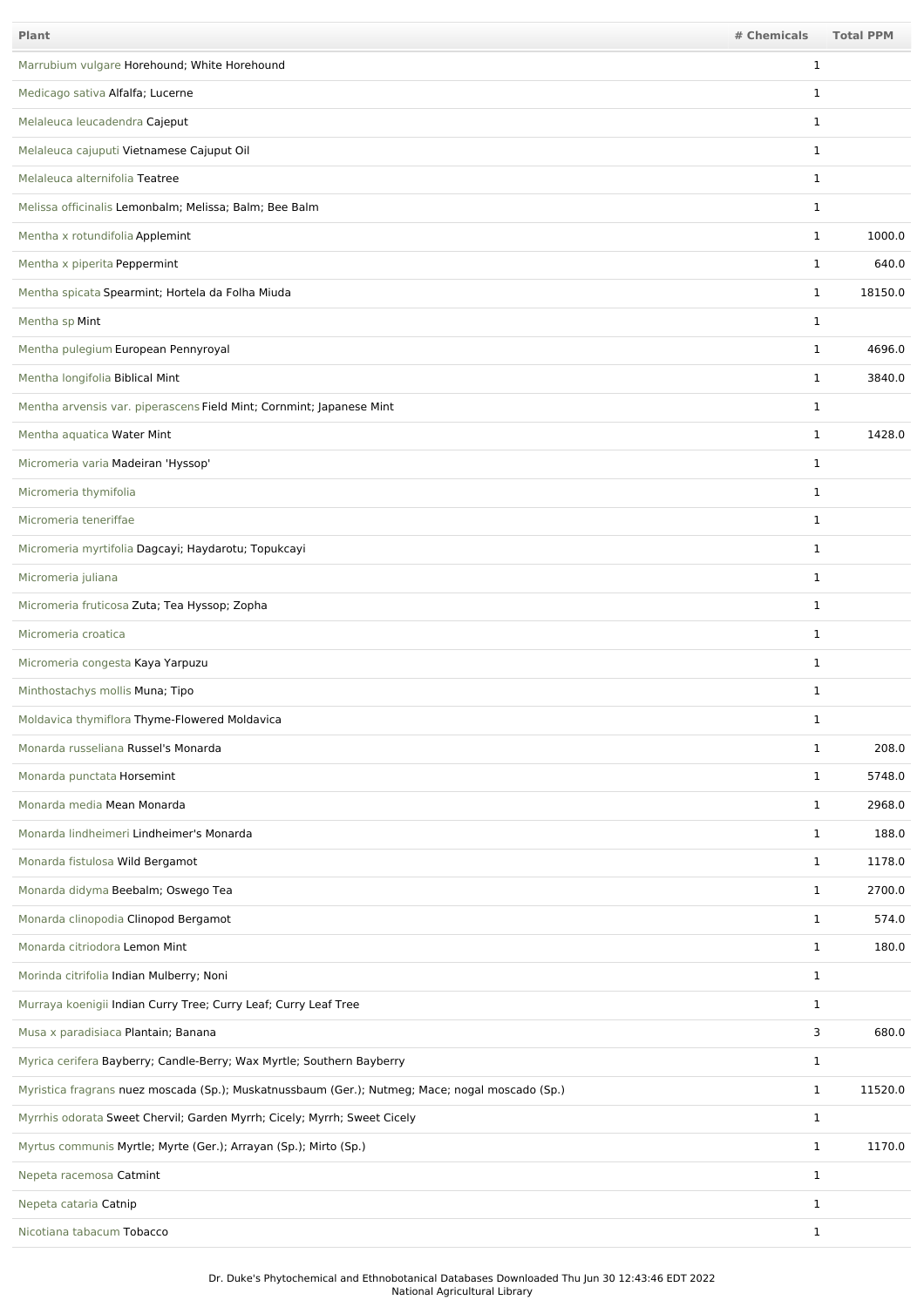| <b>Plant</b>                                                                                    | # Chemicals  | <b>Total PPM</b> |
|-------------------------------------------------------------------------------------------------|--------------|------------------|
| Marrubium vulgare Horehound; White Horehound                                                    | 1            |                  |
| Medicago sativa Alfalfa; Lucerne                                                                | 1            |                  |
| Melaleuca leucadendra Cajeput                                                                   | 1            |                  |
| Melaleuca cajuputi Vietnamese Cajuput Oil                                                       | 1            |                  |
| Melaleuca alternifolia Teatree                                                                  | 1            |                  |
| Melissa officinalis Lemonbalm; Melissa; Balm; Bee Balm                                          | 1            |                  |
| Mentha x rotundifolia Applemint                                                                 | $\mathbf{1}$ | 1000.0           |
| Mentha x piperita Peppermint                                                                    | $\mathbf{1}$ | 640.0            |
| Mentha spicata Spearmint; Hortela da Folha Miuda                                                | $\mathbf{1}$ | 18150.0          |
| Mentha sp Mint                                                                                  | $\mathbf{1}$ |                  |
| Mentha pulegium European Pennyroyal                                                             | $\mathbf{1}$ | 4696.0           |
| Mentha longifolia Biblical Mint                                                                 | $\mathbf{1}$ | 3840.0           |
| Mentha arvensis var. piperascens Field Mint; Cornmint; Japanese Mint                            | $\mathbf{1}$ |                  |
| Mentha aquatica Water Mint                                                                      | $\mathbf{1}$ | 1428.0           |
| Micromeria varia Madeiran 'Hyssop'                                                              | $\mathbf 1$  |                  |
| Micromeria thymifolia                                                                           | $\mathbf{1}$ |                  |
| Micromeria teneriffae                                                                           | $\mathbf{1}$ |                  |
| Micromeria myrtifolia Dagcayi; Haydarotu; Topukcayi                                             | $\mathbf{1}$ |                  |
| Micromeria juliana                                                                              | 1            |                  |
| Micromeria fruticosa Zuta; Tea Hyssop; Zopha                                                    | $\mathbf{1}$ |                  |
| Micromeria croatica                                                                             | $\mathbf{1}$ |                  |
| Micromeria congesta Kaya Yarpuzu                                                                | $\mathbf 1$  |                  |
| Minthostachys mollis Muna; Tipo                                                                 | $\mathbf{1}$ |                  |
| Moldavica thymiflora Thyme-Flowered Moldavica                                                   | 1            |                  |
| Monarda russeliana Russel's Monarda                                                             | $\mathbf{1}$ | 208.0            |
| Monarda punctata Horsemint                                                                      | $\mathbf{1}$ | 5748.0           |
| Monarda media Mean Monarda                                                                      | $\mathbf{1}$ | 2968.0           |
| Monarda lindheimeri Lindheimer's Monarda                                                        | $\mathbf{1}$ | 188.0            |
| Monarda fistulosa Wild Bergamot                                                                 | $\mathbf{1}$ | 1178.0           |
| Monarda didyma Beebalm; Oswego Tea                                                              | $\mathbf{1}$ | 2700.0           |
| Monarda clinopodia Clinopod Bergamot                                                            | $\mathbf{1}$ | 574.0            |
| Monarda citriodora Lemon Mint                                                                   | $\mathbf{1}$ | 180.0            |
| Morinda citrifolia Indian Mulberry; Noni                                                        | $\mathbf{1}$ |                  |
| Murraya koenigii Indian Curry Tree; Curry Leaf; Curry Leaf Tree                                 | $\mathbf{1}$ |                  |
| Musa x paradisiaca Plantain; Banana                                                             | 3            | 680.0            |
| Myrica cerifera Bayberry; Candle-Berry; Wax Myrtle; Southern Bayberry                           | $\mathbf{1}$ |                  |
| Myristica fragrans nuez moscada (Sp.); Muskatnussbaum (Ger.); Nutmeg; Mace; nogal moscado (Sp.) | $\mathbf{1}$ | 11520.0          |
| Myrrhis odorata Sweet Chervil; Garden Myrrh; Cicely; Myrrh; Sweet Cicely                        | $\mathbf{1}$ |                  |
| Myrtus communis Myrtle; Myrte (Ger.); Arrayan (Sp.); Mirto (Sp.)                                | $\mathbf{1}$ | 1170.0           |
| Nepeta racemosa Catmint                                                                         | $\mathbf{1}$ |                  |
| Nepeta cataria Catnip                                                                           | $\mathbf{1}$ |                  |
| Nicotiana tabacum Tobacco                                                                       | $\mathbf{1}$ |                  |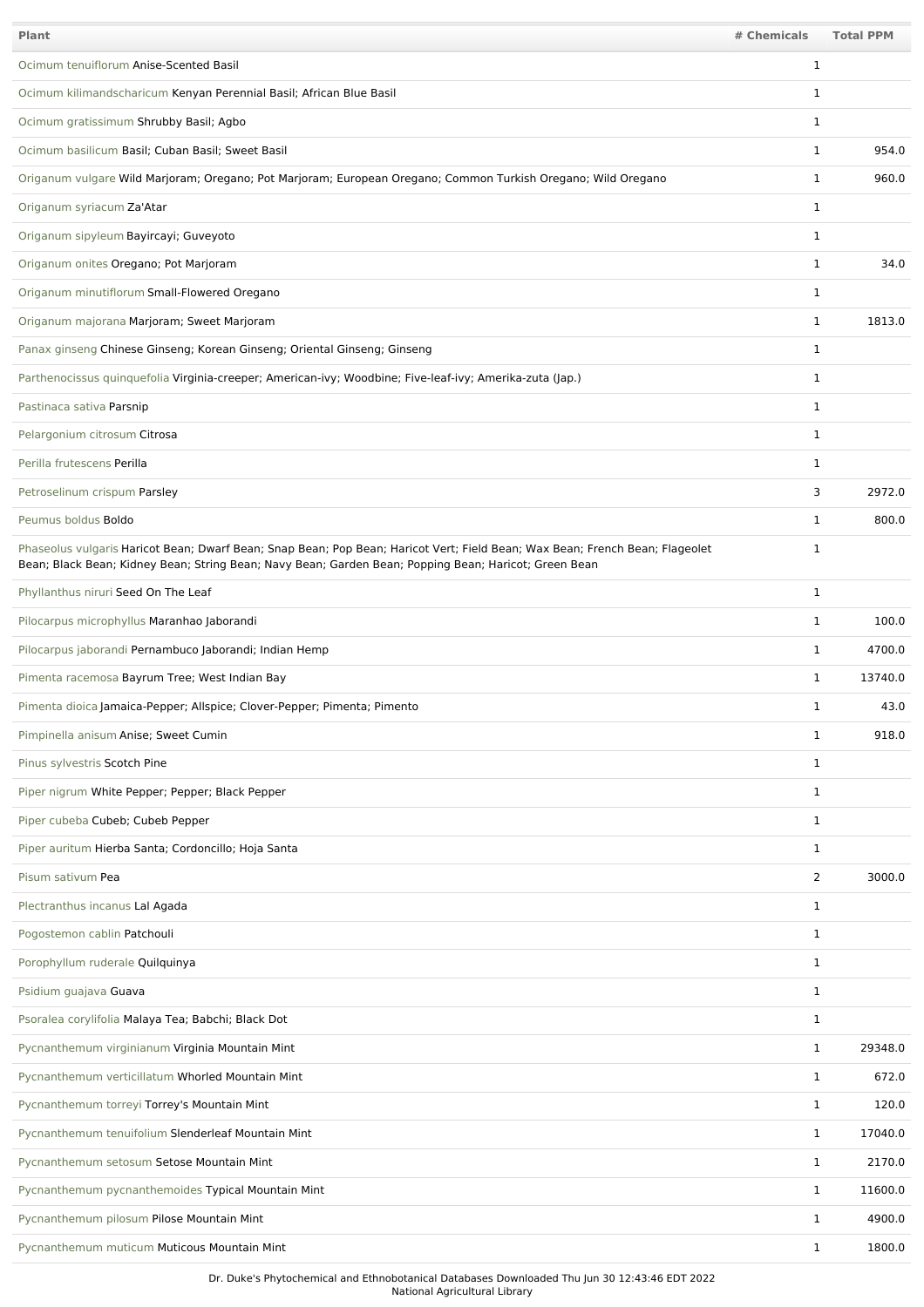| Plant                                                                                                                                                                                                                                 | # Chemicals  | <b>Total PPM</b> |
|---------------------------------------------------------------------------------------------------------------------------------------------------------------------------------------------------------------------------------------|--------------|------------------|
| Ocimum tenuiflorum Anise-Scented Basil                                                                                                                                                                                                | 1            |                  |
| Ocimum kilimandscharicum Kenyan Perennial Basil; African Blue Basil                                                                                                                                                                   | 1            |                  |
| Ocimum gratissimum Shrubby Basil; Agbo                                                                                                                                                                                                | $\mathbf 1$  |                  |
| Ocimum basilicum Basil; Cuban Basil; Sweet Basil                                                                                                                                                                                      | $\mathbf{1}$ | 954.0            |
| Origanum vulgare Wild Marjoram; Oregano; Pot Marjoram; European Oregano; Common Turkish Oregano; Wild Oregano                                                                                                                         | $\mathbf{1}$ | 960.0            |
| Origanum syriacum Za'Atar                                                                                                                                                                                                             | $\mathbf 1$  |                  |
| Origanum sipyleum Bayircayi; Guveyoto                                                                                                                                                                                                 | $\mathbf 1$  |                  |
| Origanum onites Oregano; Pot Marjoram                                                                                                                                                                                                 | $\mathbf{1}$ | 34.0             |
| Origanum minutiflorum Small-Flowered Oregano                                                                                                                                                                                          | $\mathbf{1}$ |                  |
| Origanum majorana Marjoram; Sweet Marjoram                                                                                                                                                                                            | $\mathbf 1$  | 1813.0           |
| Panax ginseng Chinese Ginseng; Korean Ginseng; Oriental Ginseng; Ginseng                                                                                                                                                              | $\mathbf 1$  |                  |
| Parthenocissus quinquefolia Virginia-creeper; American-ivy; Woodbine; Five-leaf-ivy; Amerika-zuta (Jap.)                                                                                                                              | $\mathbf 1$  |                  |
| Pastinaca sativa Parsnip                                                                                                                                                                                                              | $\mathbf 1$  |                  |
| Pelargonium citrosum Citrosa                                                                                                                                                                                                          | $\mathbf 1$  |                  |
| Perilla frutescens Perilla                                                                                                                                                                                                            | $\mathbf 1$  |                  |
| Petroselinum crispum Parsley                                                                                                                                                                                                          | 3            | 2972.0           |
| Peumus boldus Boldo                                                                                                                                                                                                                   | $\mathbf 1$  | 800.0            |
| Phaseolus vulgaris Haricot Bean; Dwarf Bean; Snap Bean; Pop Bean; Haricot Vert; Field Bean; Wax Bean; French Bean; Flageolet<br>Bean; Black Bean; Kidney Bean; String Bean; Navy Bean; Garden Bean; Popping Bean; Haricot; Green Bean | $\mathbf{1}$ |                  |
| Phyllanthus niruri Seed On The Leaf                                                                                                                                                                                                   | $\mathbf 1$  |                  |
| Pilocarpus microphyllus Maranhao Jaborandi                                                                                                                                                                                            | $\mathbf 1$  | 100.0            |
| Pilocarpus jaborandi Pernambuco Jaborandi; Indian Hemp                                                                                                                                                                                | $\mathbf 1$  | 4700.0           |
| Pimenta racemosa Bayrum Tree; West Indian Bay                                                                                                                                                                                         | $\mathbf{1}$ | 13740.0          |
| Pimenta dioica Jamaica-Pepper; Allspice; Clover-Pepper; Pimenta; Pimento                                                                                                                                                              | $\mathbf{1}$ | 43.0             |
| Pimpinella anisum Anise; Sweet Cumin                                                                                                                                                                                                  | $\mathbf{1}$ | 918.0            |
| Pinus sylvestris Scotch Pine                                                                                                                                                                                                          | 1            |                  |
| Piper nigrum White Pepper; Pepper; Black Pepper                                                                                                                                                                                       | 1            |                  |
| Piper cubeba Cubeb; Cubeb Pepper                                                                                                                                                                                                      | 1            |                  |
| Piper auritum Hierba Santa; Cordoncillo; Hoja Santa                                                                                                                                                                                   | $\mathbf 1$  |                  |
| Pisum sativum Pea                                                                                                                                                                                                                     | 2            | 3000.0           |
| Plectranthus incanus Lal Agada                                                                                                                                                                                                        | $\mathbf 1$  |                  |
| Pogostemon cablin Patchouli                                                                                                                                                                                                           | $\mathbf 1$  |                  |
| Porophyllum ruderale Quilquinya                                                                                                                                                                                                       | $\mathbf{1}$ |                  |
| Psidium guajava Guava                                                                                                                                                                                                                 | $\mathbf{1}$ |                  |
| Psoralea corylifolia Malaya Tea; Babchi; Black Dot                                                                                                                                                                                    | $\mathbf{1}$ |                  |
| Pycnanthemum virginianum Virginia Mountain Mint                                                                                                                                                                                       | $\mathbf 1$  | 29348.0          |
| Pycnanthemum verticillatum Whorled Mountain Mint                                                                                                                                                                                      | $\mathbf 1$  | 672.0            |
| Pycnanthemum torreyi Torrey's Mountain Mint                                                                                                                                                                                           | $\mathbf 1$  | 120.0            |
| Pycnanthemum tenuifolium Slenderleaf Mountain Mint                                                                                                                                                                                    | $\mathbf{1}$ | 17040.0          |
| Pycnanthemum setosum Setose Mountain Mint                                                                                                                                                                                             | $\mathbf 1$  | 2170.0           |
| Pycnanthemum pycnanthemoides Typical Mountain Mint                                                                                                                                                                                    | $\mathbf{1}$ | 11600.0          |
| Pycnanthemum pilosum Pilose Mountain Mint                                                                                                                                                                                             | $\mathbf 1$  | 4900.0           |
| Pycnanthemum muticum Muticous Mountain Mint                                                                                                                                                                                           | $\mathbf 1$  | 1800.0           |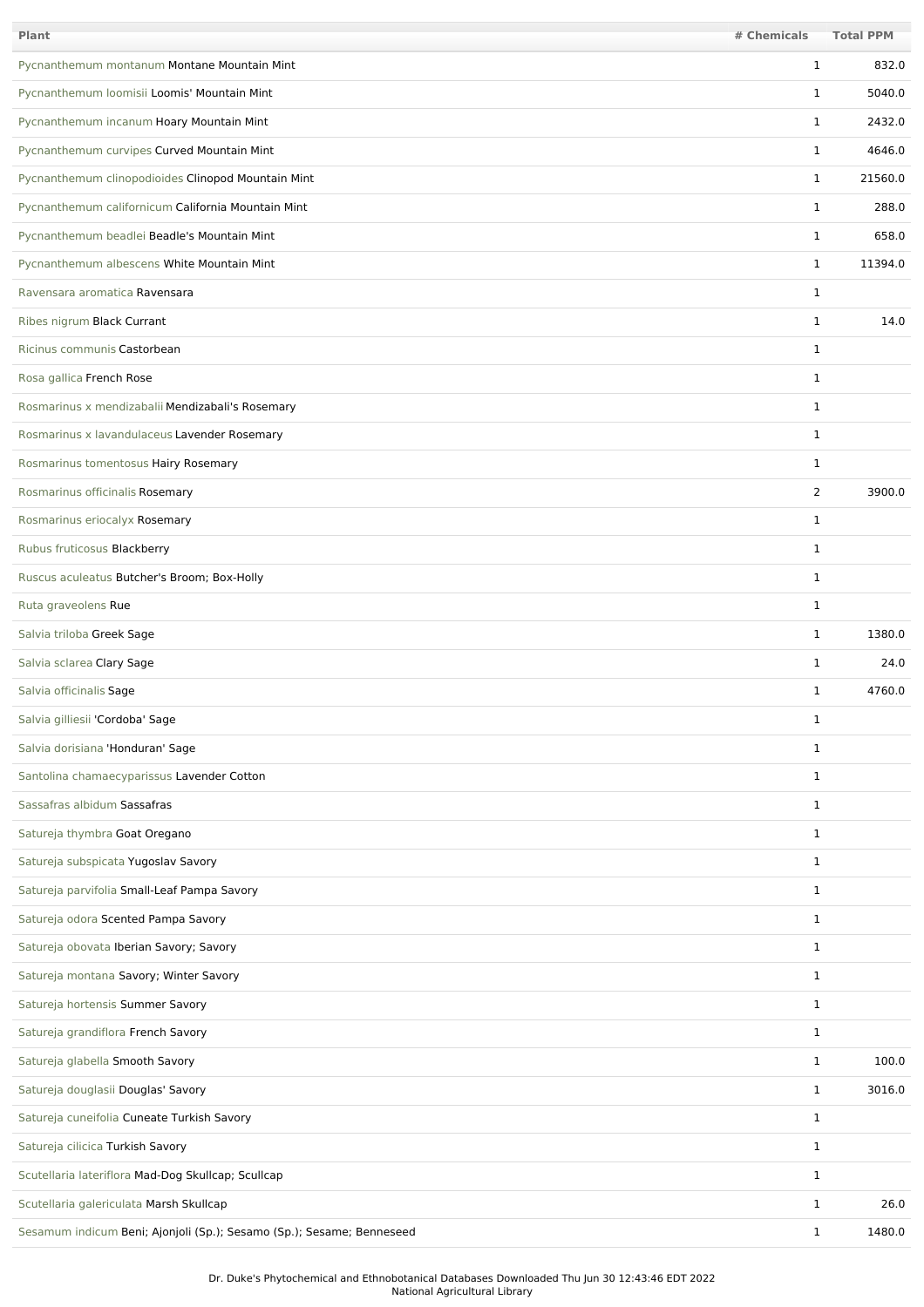| <b>Plant</b>                                                          | # Chemicals    | <b>Total PPM</b> |
|-----------------------------------------------------------------------|----------------|------------------|
| Pycnanthemum montanum Montane Mountain Mint                           | 1              | 832.0            |
| Pycnanthemum loomisii Loomis' Mountain Mint                           | $\mathbf{1}$   | 5040.0           |
| Pycnanthemum incanum Hoary Mountain Mint                              | $\mathbf{1}$   | 2432.0           |
| Pycnanthemum curvipes Curved Mountain Mint                            | $\mathbf{1}$   | 4646.0           |
| Pycnanthemum clinopodioides Clinopod Mountain Mint                    | $\mathbf{1}$   | 21560.0          |
| Pycnanthemum californicum California Mountain Mint                    | $\mathbf{1}$   | 288.0            |
| Pycnanthemum beadlei Beadle's Mountain Mint                           | $\mathbf{1}$   | 658.0            |
| Pycnanthemum albescens White Mountain Mint                            | $\mathbf{1}$   | 11394.0          |
| Ravensara aromatica Ravensara                                         | 1              |                  |
| Ribes nigrum Black Currant                                            | $\mathbf{1}$   | 14.0             |
| Ricinus communis Castorbean                                           | $\mathbf{1}$   |                  |
| Rosa gallica French Rose                                              | $\mathbf{1}$   |                  |
| Rosmarinus x mendizabalii Mendizabali's Rosemary                      | $\mathbf{1}$   |                  |
| Rosmarinus x lavandulaceus Lavender Rosemary                          | $\mathbf{1}$   |                  |
| Rosmarinus tomentosus Hairy Rosemary                                  | 1              |                  |
| Rosmarinus officinalis Rosemary                                       | $\overline{2}$ | 3900.0           |
| Rosmarinus eriocalyx Rosemary                                         | $\mathbf{1}$   |                  |
| Rubus fruticosus Blackberry                                           | $\mathbf{1}$   |                  |
| Ruscus aculeatus Butcher's Broom; Box-Holly                           | $\mathbf{1}$   |                  |
| Ruta graveolens Rue                                                   | $\mathbf{1}$   |                  |
| Salvia triloba Greek Sage                                             | $\mathbf{1}$   | 1380.0           |
| Salvia sclarea Clary Sage                                             | $\mathbf{1}$   | 24.0             |
| Salvia officinalis Sage                                               | 1              | 4760.0           |
| Salvia gilliesii 'Cordoba' Sage                                       | 1              |                  |
| Salvia dorisiana 'Honduran' Sage                                      | $\mathbf{1}$   |                  |
| Santolina chamaecyparissus Lavender Cotton                            | $\mathbf{1}$   |                  |
| Sassafras albidum Sassafras                                           | $\mathbf{1}$   |                  |
| Satureja thymbra Goat Oregano                                         | $\mathbf{1}$   |                  |
| Satureja subspicata Yugoslav Savory                                   | $\mathbf{1}$   |                  |
| Satureja parvifolia Small-Leaf Pampa Savory                           | $\mathbf{1}$   |                  |
| Satureja odora Scented Pampa Savory                                   | $\mathbf{1}$   |                  |
| Satureja obovata Iberian Savory; Savory                               | $\mathbf{1}$   |                  |
| Satureja montana Savory; Winter Savory                                | $\mathbf{1}$   |                  |
| Satureja hortensis Summer Savory                                      | $\mathbf{1}$   |                  |
| Satureja grandiflora French Savory                                    | $\mathbf{1}$   |                  |
| Satureja glabella Smooth Savory                                       | $\mathbf{1}$   | 100.0            |
| Satureja douglasii Douglas' Savory                                    | $\mathbf{1}$   | 3016.0           |
| Satureja cuneifolia Cuneate Turkish Savory                            | $\mathbf 1$    |                  |
| Satureja cilicica Turkish Savory                                      | $\mathbf 1$    |                  |
| Scutellaria lateriflora Mad-Dog Skullcap; Scullcap                    | $\mathbf 1$    |                  |
| Scutellaria galericulata Marsh Skullcap                               | $\mathbf{1}$   | 26.0             |
| Sesamum indicum Beni; Ajonjoli (Sp.); Sesamo (Sp.); Sesame; Benneseed | $\mathbf{1}$   | 1480.0           |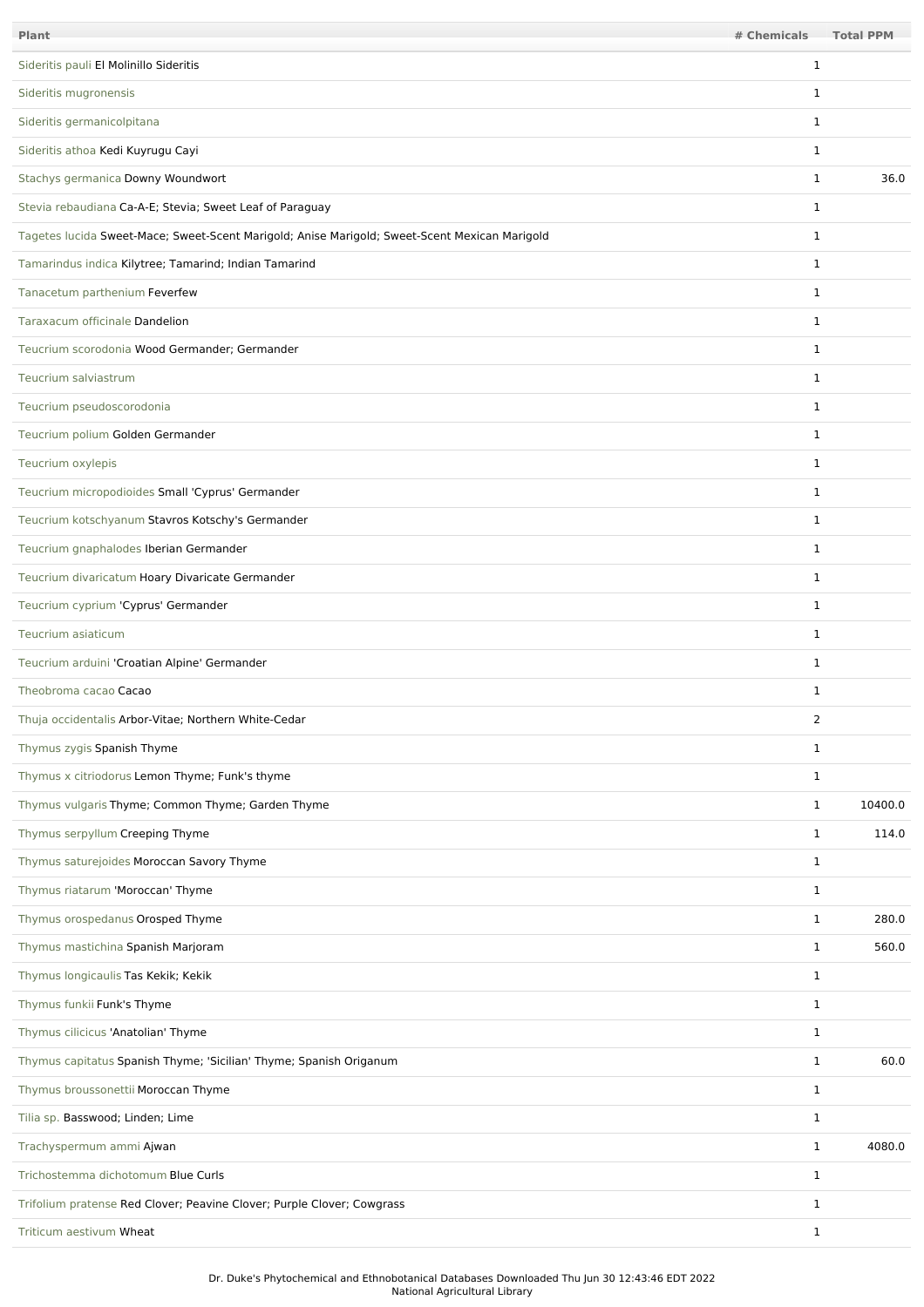| Plant                                                                                         | # Chemicals  | <b>Total PPM</b> |
|-----------------------------------------------------------------------------------------------|--------------|------------------|
| Sideritis pauli El Molinillo Sideritis                                                        | 1            |                  |
| Sideritis mugronensis                                                                         | 1            |                  |
| Sideritis germanicolpitana                                                                    | $\mathbf{1}$ |                  |
| Sideritis athoa Kedi Kuyrugu Cayi                                                             | $\mathbf{1}$ |                  |
| Stachys germanica Downy Woundwort                                                             | $\mathbf{1}$ | 36.0             |
| Stevia rebaudiana Ca-A-E; Stevia; Sweet Leaf of Paraguay                                      | $\mathbf{1}$ |                  |
| Tagetes lucida Sweet-Mace; Sweet-Scent Marigold; Anise Marigold; Sweet-Scent Mexican Marigold | $\mathbf{1}$ |                  |
| Tamarindus indica Kilytree; Tamarind; Indian Tamarind                                         | $\mathbf{1}$ |                  |
| Tanacetum parthenium Feverfew                                                                 | $\mathbf{1}$ |                  |
| Taraxacum officinale Dandelion                                                                | $\mathbf{1}$ |                  |
| Teucrium scorodonia Wood Germander: Germander                                                 | $\mathbf{1}$ |                  |
| Teucrium salviastrum                                                                          | $\mathbf{1}$ |                  |
| Teucrium pseudoscorodonia                                                                     | $\mathbf{1}$ |                  |
| Teucrium polium Golden Germander                                                              | $\mathbf{1}$ |                  |
| Teucrium oxylepis                                                                             | $\mathbf{1}$ |                  |
| Teucrium micropodioides Small 'Cyprus' Germander                                              | $\mathbf{1}$ |                  |
| Teucrium kotschyanum Stavros Kotschy's Germander                                              | $\mathbf{1}$ |                  |
| Teucrium gnaphalodes Iberian Germander                                                        | $\mathbf{1}$ |                  |
| Teucrium divaricatum Hoary Divaricate Germander                                               | $\mathbf{1}$ |                  |
| Teucrium cyprium 'Cyprus' Germander                                                           | $\mathbf{1}$ |                  |
| Teucrium asiaticum                                                                            | $\mathbf{1}$ |                  |
| Teucrium arduini 'Croatian Alpine' Germander                                                  | $\mathbf{1}$ |                  |
| Theobroma cacao Cacao                                                                         | 1            |                  |
| Thuja occidentalis Arbor-Vitae; Northern White-Cedar                                          | 2            |                  |
| Thymus zygis Spanish Thyme                                                                    | $\mathbf{1}$ |                  |
| Thymus x citriodorus Lemon Thyme; Funk's thyme                                                | $\mathbf{1}$ |                  |
| Thymus vulgaris Thyme; Common Thyme; Garden Thyme                                             | $\mathbf{1}$ | 10400.0          |
| Thymus serpyllum Creeping Thyme                                                               | $\mathbf{1}$ | 114.0            |
| Thymus saturejoides Moroccan Savory Thyme                                                     | $\mathbf{1}$ |                  |
| Thymus riatarum 'Moroccan' Thyme                                                              | $\mathbf{1}$ |                  |
| Thymus orospedanus Orosped Thyme                                                              | $\mathbf{1}$ | 280.0            |
| Thymus mastichina Spanish Marjoram                                                            | $\mathbf{1}$ | 560.0            |
| Thymus longicaulis Tas Kekik; Kekik                                                           | $\mathbf{1}$ |                  |
| Thymus funkii Funk's Thyme                                                                    | $\mathbf{1}$ |                  |
| Thymus cilicicus 'Anatolian' Thyme                                                            | $\mathbf{1}$ |                  |
| Thymus capitatus Spanish Thyme; 'Sicilian' Thyme; Spanish Origanum                            | $\mathbf{1}$ | 60.0             |
| Thymus broussonettii Moroccan Thyme                                                           | $\mathbf{1}$ |                  |
| Tilia sp. Basswood; Linden; Lime                                                              | $\mathbf{1}$ |                  |
| Trachyspermum ammi Ajwan                                                                      | $\mathbf{1}$ | 4080.0           |
| Trichostemma dichotomum Blue Curls                                                            | $\mathbf{1}$ |                  |
| Trifolium pratense Red Clover; Peavine Clover; Purple Clover; Cowgrass                        | $\mathbf{1}$ |                  |
| Triticum aestivum Wheat                                                                       | $\mathbf{1}$ |                  |